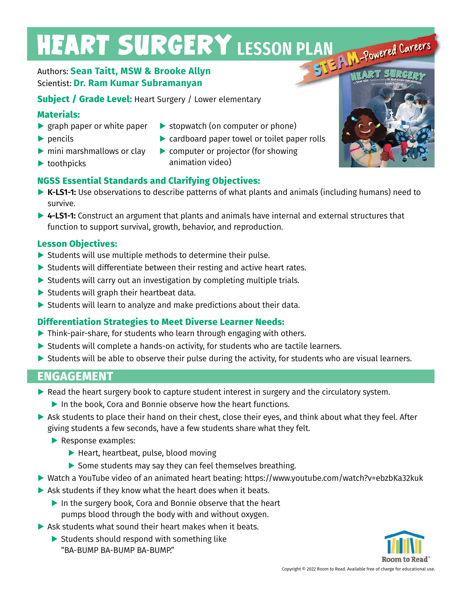# **HEART SURGERY LESSON PLAN POWEred Careers**

#### Authors: **Sean Taitt, MSW & Brooke Allyn** Scientist: **Dr. Ram Kumar Subramanyan**

**Subject / Grade Level:** Heart Surgery / Lower elementary

#### **Materials:**

- **▶** graph paper or white paper
- **▶** pencils
- **▶** mini marshmallows or clay
- **▶** toothpicks

#### **▶** stopwatch (on computer or phone)

- **▶** cardboard paper towel or toilet paper rolls
- **▶** computer or projector (for showing animation video)

### **NGSS Essential Standards and Clarifying Objectives:**

- **▶ K-LS1-1:** Use observations to describe patterns of what plants and animals (including humans) need to survive.
- ▶ 4-LS1-1: Construct an argument that plants and animals have internal and external structures that function to support survival, growth, behavior, and reproduction.

#### **Lesson Objectives:**

- **▶** Students will use multiple methods to determine their pulse.
- ▶ Students will differentiate between their resting and active heart rates.
- **▶** Students will carry out an investigation by completing multiple trials.
- **▶** Students will graph their heartbeat data.
- **▶** Students will learn to analyze and make predictions about their data.

#### **Differentiation Strategies to Meet Diverse Learner Needs:**

- **▶** Think-pair-share, for students who learn through engaging with others.
- ▶ Students will complete a hands-on activity, for students who are tactile learners.
- ▶ Students will be able to observe their pulse during the activity, for students who are visual learners.

## **ENGAGEMENT**

- ▶ Read the heart surgery book to capture student interest in surgery and the circulatory system.
	- ▶ In the book, Cora and Bonnie observe how the heart functions.
- ▶ Ask students to place their hand on their chest, close their eyes, and think about what they feel. After giving students a few seconds, have a few students share what they felt.
	- **▶** Response examples:
		- **▶** Heart, heartbeat, pulse, blood moving
		- ▶ Some students may say they can feel themselves breathing.
- **▶** Watch a YouTube video of an animated heart beating: https://www.youtube.com/watch?v=ebzbKa32kuk
- **▶** Ask students if they know what the heart does when it beats.
	- ▶ In the surgery book, Cora and Bonnie observe that the heart pumps blood through the body with and without oxygen.
- **▶** Ask students what sound their heart makes when it beats.
	- ▶ Students should respond with something like "BA-BUMP BA-BUMP BA-BUMP."



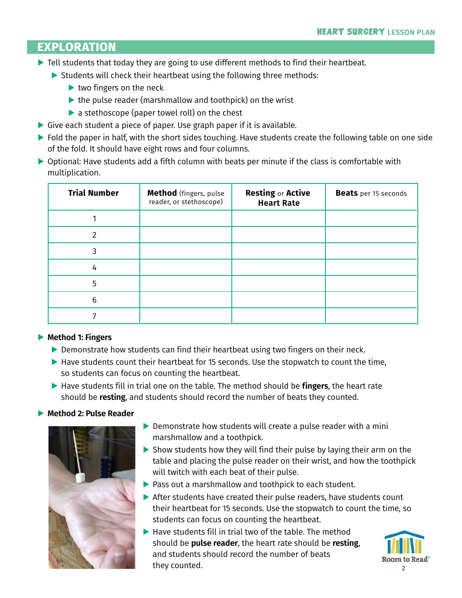## **EXPLORATION**

- ▶ Tell students that today they are going to use different methods to find their heartbeat.
	- ▶ Students will check their heartbeat using the following three methods:
		- **▶** two fingers on the neck
		- ▶ the pulse reader (marshmallow and toothpick) on the wrist
		- ▶ a stethoscope (paper towel roll) on the chest
- **▶** Give each student a piece of paper. Use graph paper if it is available.
- **▶** Fold the paper in half, with the short sides touching. Have students create the following table on one side of the fold. It should have eight rows and four columns.
- ▶ Optional: Have students add a fifth column with beats per minute if the class is comfortable with multiplication.

| <b>Trial Number</b> | Method (fingers, pulse<br>reader, or stethoscope) | <b>Resting or Active</b><br><b>Heart Rate</b> | <b>Beats</b> per 15 seconds |
|---------------------|---------------------------------------------------|-----------------------------------------------|-----------------------------|
|                     |                                                   |                                               |                             |
| 2                   |                                                   |                                               |                             |
| 3                   |                                                   |                                               |                             |
| 4                   |                                                   |                                               |                             |
| 5                   |                                                   |                                               |                             |
| 6                   |                                                   |                                               |                             |
|                     |                                                   |                                               |                             |

#### **▶ Method 1: Fingers**

- ▶ Demonstrate how students can find their heartbeat using two fingers on their neck.
- **▶** Have students count their heartbeat for 15 seconds. Use the stopwatch to count the time, so students can focus on counting the heartbeat.
- **▶** Have students fill in trial one on the table. The method should be **fingers**, the heart rate should be **resting**, and students should record the number of beats they counted.

#### **▶ Method 2: Pulse Reader**



- ▶ Demonstrate how students will create a pulse reader with a mini marshmallow and a toothpick.
- **▶** Show students how they will find their pulse by laying their arm on the table and placing the pulse reader on their wrist, and how the toothpick will twitch with each beat of their pulse.
- **▶** Pass out a marshmallow and toothpick to each student.
- **▶** After students have created their pulse readers, have students count their heartbeat for 15 seconds. Use the stopwatch to count the time, so students can focus on counting the heartbeat.
- **▶** Have students fill in trial two of the table. The method should be **pulse reader**, the heart rate should be **resting**, and students should record the number of beats they counted.

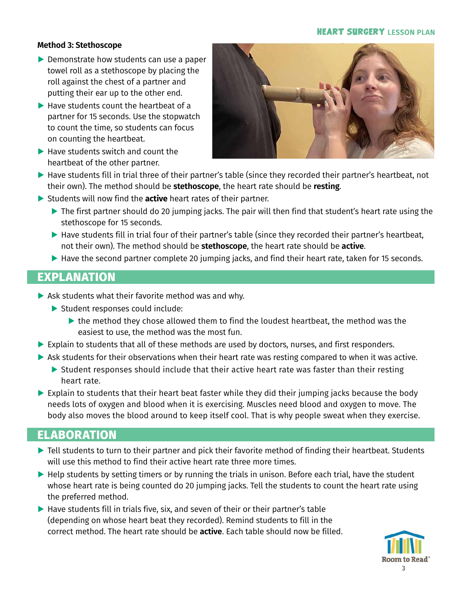#### **HEART SURGERY LESSON PLAN**

#### **Method 3: Stethoscope**

- **▶** Demonstrate how students can use a paper towel roll as a stethoscope by placing the roll against the chest of a partner and putting their ear up to the other end.
- **▶** Have students count the heartbeat of a partner for 15 seconds. Use the stopwatch to count the time, so students can focus on counting the heartbeat.
- **▶** Have students switch and count the heartbeat of the other partner.



- ▶ Have students fill in trial three of their partner's table (since they recorded their partner's heartbeat, not their own). The method should be **stethoscope**, the heart rate should be **resting**.
- **▶** Students will now find the **active** heart rates of their partner.
	- **▶** The first partner should do 20 jumping jacks. The pair will then find that student's heart rate using the stethoscope for 15 seconds.
	- **▶** Have students fill in trial four of their partner's table (since they recorded their partner's heartbeat, not their own). The method should be **stethoscope**, the heart rate should be **active**.
	- **▶** Have the second partner complete 20 jumping jacks, and find their heart rate, taken for 15 seconds.

## **EXPLANATION**

- **▶** Ask students what their favorite method was and why.
	- **▶** Student responses could include:
		- ▶ the method they chose allowed them to find the loudest heartbeat, the method was the easiest to use, the method was the most fun.
- **▶** Explain to students that all of these methods are used by doctors, nurses, and first responders.
- ▶ Ask students for their observations when their heart rate was resting compared to when it was active.
	- ▶ Student responses should include that their active heart rate was faster than their resting heart rate.
- ▶ Explain to students that their heart beat faster while they did their jumping jacks because the body needs lots of oxygen and blood when it is exercising. Muscles need blood and oxygen to move. The body also moves the blood around to keep itself cool. That is why people sweat when they exercise.

# **ELABORATION**

- **▶** Tell students to turn to their partner and pick their favorite method of finding their heartbeat. Students will use this method to find their active heart rate three more times.
- **▶** Help students by setting timers or by running the trials in unison. Before each trial, have the student whose heart rate is being counted do 20 jumping jacks. Tell the students to count the heart rate using the preferred method.
- ▶ Have students fill in trials five, six, and seven of their or their partner's table (depending on whose heart beat they recorded). Remind students to fill in the correct method. The heart rate should be **active**. Each table should now be filled.